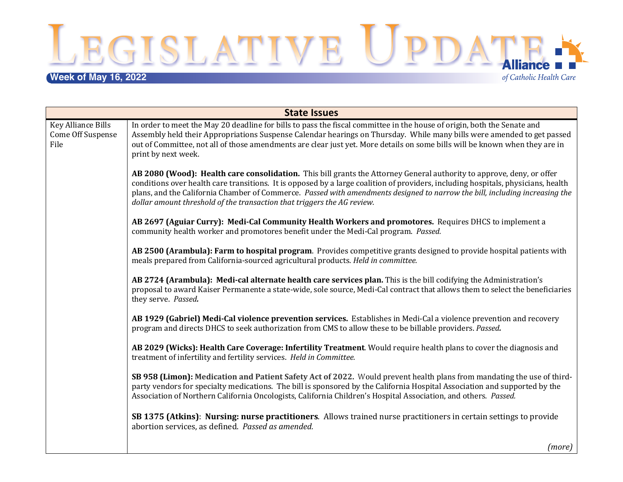**Week of May 16, 2022**<br> **Week of May 16, 2022** 

of Catholic Health Care

| <b>State Issues</b>                                    |                                                                                                                                                                                                                                                                                                                                                                                                                                                                      |  |
|--------------------------------------------------------|----------------------------------------------------------------------------------------------------------------------------------------------------------------------------------------------------------------------------------------------------------------------------------------------------------------------------------------------------------------------------------------------------------------------------------------------------------------------|--|
| Key Alliance Bills<br><b>Come Off Suspense</b><br>File | In order to meet the May 20 deadline for bills to pass the fiscal committee in the house of origin, both the Senate and<br>Assembly held their Appropriations Suspense Calendar hearings on Thursday. While many bills were amended to get passed<br>out of Committee, not all of those amendments are clear just yet. More details on some bills will be known when they are in<br>print by next week.                                                              |  |
|                                                        | AB 2080 (Wood): Health care consolidation. This bill grants the Attorney General authority to approve, deny, or offer<br>conditions over health care transitions. It is opposed by a large coalition of providers, including hospitals, physicians, health<br>plans, and the California Chamber of Commerce. Passed with amendments designed to narrow the bill, including increasing the<br>dollar amount threshold of the transaction that triggers the AG review. |  |
|                                                        | AB 2697 (Aguiar Curry): Medi-Cal Community Health Workers and promotores. Requires DHCS to implement a<br>community health worker and promotores benefit under the Medi-Cal program. Passed.                                                                                                                                                                                                                                                                         |  |
|                                                        | AB 2500 (Arambula): Farm to hospital program. Provides competitive grants designed to provide hospital patients with<br>meals prepared from California-sourced agricultural products. Held in committee.                                                                                                                                                                                                                                                             |  |
|                                                        | AB 2724 (Arambula): Medi-cal alternate health care services plan. This is the bill codifying the Administration's<br>proposal to award Kaiser Permanente a state-wide, sole source, Medi-Cal contract that allows them to select the beneficiaries<br>they serve. Passed.                                                                                                                                                                                            |  |
|                                                        | AB 1929 (Gabriel) Medi-Cal violence prevention services. Establishes in Medi-Cal a violence prevention and recovery<br>program and directs DHCS to seek authorization from CMS to allow these to be billable providers. Passed.                                                                                                                                                                                                                                      |  |
|                                                        | AB 2029 (Wicks): Health Care Coverage: Infertility Treatment. Would require health plans to cover the diagnosis and<br>treatment of infertility and fertility services. Held in Committee.                                                                                                                                                                                                                                                                           |  |
|                                                        | SB 958 (Limon): Medication and Patient Safety Act of 2022. Would prevent health plans from mandating the use of third-<br>party vendors for specialty medications. The bill is sponsored by the California Hospital Association and supported by the<br>Association of Northern California Oncologists, California Children's Hospital Association, and others. Passed.                                                                                              |  |
|                                                        | SB 1375 (Atkins): Nursing: nurse practitioners. Allows trained nurse practitioners in certain settings to provide<br>abortion services, as defined. Passed as amended.                                                                                                                                                                                                                                                                                               |  |
|                                                        | $\mathcal{L}_{\text{max}}$ $\sim$ $\sim$ $\sim$ $\sim$ $\sim$ $\sim$                                                                                                                                                                                                                                                                                                                                                                                                 |  |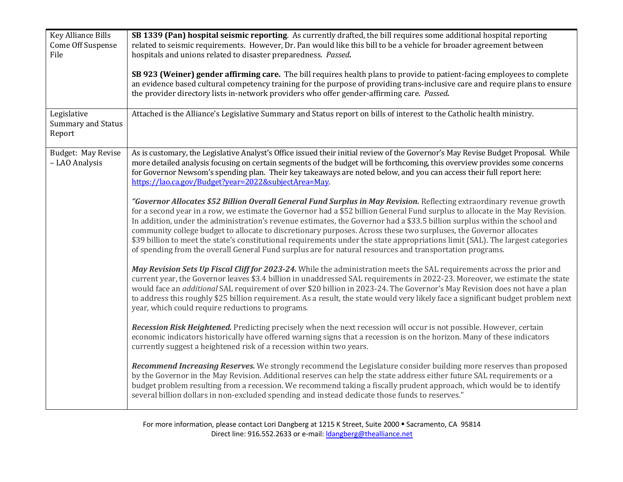| <b>Key Alliance Bills</b><br><b>Come Off Suspense</b><br>File | SB 1339 (Pan) hospital seismic reporting. As currently drafted, the bill requires some additional hospital reporting<br>related to seismic requirements. However, Dr. Pan would like this bill to be a vehicle for broader agreement between<br>hospitals and unions related to disaster preparedness. Passed.                                                                                                                                                                                                                                                                                                                                                                                                                                             |
|---------------------------------------------------------------|------------------------------------------------------------------------------------------------------------------------------------------------------------------------------------------------------------------------------------------------------------------------------------------------------------------------------------------------------------------------------------------------------------------------------------------------------------------------------------------------------------------------------------------------------------------------------------------------------------------------------------------------------------------------------------------------------------------------------------------------------------|
|                                                               | SB 923 (Weiner) gender affirming care. The bill requires health plans to provide to patient-facing employees to complete<br>an evidence based cultural competency training for the purpose of providing trans-inclusive care and require plans to ensure<br>the provider directory lists in-network providers who offer gender-affirming care. Passed.                                                                                                                                                                                                                                                                                                                                                                                                     |
| Legislative<br><b>Summary and Status</b><br>Report            | Attached is the Alliance's Legislative Summary and Status report on bills of interest to the Catholic health ministry.                                                                                                                                                                                                                                                                                                                                                                                                                                                                                                                                                                                                                                     |
| Budget: May Revise<br>- LAO Analysis                          | As is customary, the Legislative Analyst's Office issued their initial review of the Governor's May Revise Budget Proposal. While<br>more detailed analysis focusing on certain segments of the budget will be forthcoming, this overview provides some concerns<br>for Governor Newsom's spending plan. Their key takeaways are noted below, and you can access their full report here:<br>https://lao.ca.gov/Budget?year=2022&subjectArea=May.                                                                                                                                                                                                                                                                                                           |
|                                                               | "Governor Allocates \$52 Billion Overall General Fund Surplus in May Revision. Reflecting extraordinary revenue growth<br>for a second year in a row, we estimate the Governor had a \$52 billion General Fund surplus to allocate in the May Revision.<br>In addition, under the administration's revenue estimates, the Governor had a \$33.5 billion surplus within the school and<br>community college budget to allocate to discretionary purposes. Across these two surpluses, the Governor allocates<br>\$39 billion to meet the state's constitutional requirements under the state appropriations limit (SAL). The largest categories<br>of spending from the overall General Fund surplus are for natural resources and transportation programs. |
|                                                               | May Revision Sets Up Fiscal Cliff for 2023-24. While the administration meets the SAL requirements across the prior and<br>current year, the Governor leaves \$3.4 billion in unaddressed SAL requirements in 2022-23. Moreover, we estimate the state<br>would face an additional SAL requirement of over \$20 billion in 2023-24. The Governor's May Revision does not have a plan<br>to address this roughly \$25 billion requirement. As a result, the state would very likely face a significant budget problem next<br>year, which could require reductions to programs.                                                                                                                                                                             |
|                                                               | Recession Risk Heightened. Predicting precisely when the next recession will occur is not possible. However, certain<br>economic indicators historically have offered warning signs that a recession is on the horizon. Many of these indicators<br>currently suggest a heightened risk of a recession within two years.                                                                                                                                                                                                                                                                                                                                                                                                                                   |
|                                                               | Recommend Increasing Reserves. We strongly recommend the Legislature consider building more reserves than proposed<br>by the Governor in the May Revision. Additional reserves can help the state address either future SAL requirements or a<br>budget problem resulting from a recession. We recommend taking a fiscally prudent approach, which would be to identify<br>several billion dollars in non-excluded spending and instead dedicate those funds to reserves."                                                                                                                                                                                                                                                                                 |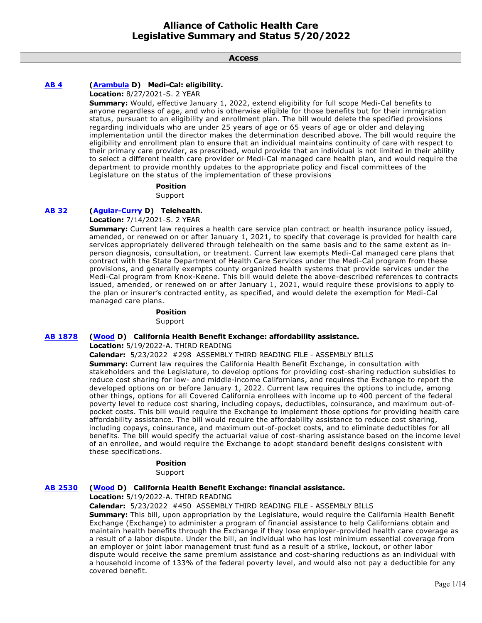**Access**

# **[AB 4](https://ctweb.capitoltrack.com/public/publishbillinfo.aspx?bi=KFYvdnrQA6jwmrfrltwrGrrFnSkRokeQ%2FM0ZywFJQAneFJv%2BL9bnd1kPGDvpRuAa) [\(Arambula](https://a31.asmdc.org/) D) Medi-Cal: eligibility.**

**Location:** 8/27/2021-S. 2 YEAR

**Summary:** Would, effective January 1, 2022, extend eligibility for full scope Medi-Cal benefits to anyone regardless of age, and who is otherwise eligible for those benefits but for their immigration status, pursuant to an eligibility and enrollment plan. The bill would delete the specified provisions regarding individuals who are under 25 years of age or 65 years of age or older and delaying implementation until the director makes the determination described above. The bill would require the eligibility and enrollment plan to ensure that an individual maintains continuity of care with respect to their primary care provider, as prescribed, would provide that an individual is not limited in their ability to select a different health care provider or Medi-Cal managed care health plan, and would require the department to provide monthly updates to the appropriate policy and fiscal committees of the Legislature on the status of the implementation of these provisions

### **Position**

Support

# **[AB 32](https://ctweb.capitoltrack.com/public/publishbillinfo.aspx?bi=0t9Iy%2FDTsh3uhPPaP7nN4QGwXxcrKJaSU%2FCFlMIgdjHlVpWBWWvl7svuvkAHFERM) [\(Aguiar-Curry](https://a04.asmdc.org/) D) Telehealth.**

**Location:** 7/14/2021-S. 2 YEAR

**Summary:** Current law requires a health care service plan contract or health insurance policy issued, amended, or renewed on or after January 1, 2021, to specify that coverage is provided for health care services appropriately delivered through telehealth on the same basis and to the same extent as inperson diagnosis, consultation, or treatment. Current law exempts Medi-Cal managed care plans that contract with the State Department of Health Care Services under the Medi-Cal program from these provisions, and generally exempts county organized health systems that provide services under the Medi-Cal program from Knox-Keene. This bill would delete the above-described references to contracts issued, amended, or renewed on or after January 1, 2021, would require these provisions to apply to the plan or insurer's contracted entity, as specified, and would delete the exemption for Medi-Cal managed care plans.

# **Position**

Support

# **[AB 1878](https://ctweb.capitoltrack.com/public/publishbillinfo.aspx?bi=GAMwRI5IoJT9WrHL5n%2Bkp8Pl3Ngx9zMETe4nirjfzmmf5Z9HlGltw8x1zpAGdnog) [\(Wood](https://a02.asmdc.org/) D) California Health Benefit Exchange: affordability assistance.**

### **Location:** 5/19/2022-A. THIRD READING

**Calendar:** 5/23/2022 #298 ASSEMBLY THIRD READING FILE - ASSEMBLY BILLS

**Summary:** Current law requires the California Health Benefit Exchange, in consultation with stakeholders and the Legislature, to develop options for providing cost-sharing reduction subsidies to reduce cost sharing for low- and middle-income Californians, and requires the Exchange to report the developed options on or before January 1, 2022. Current law requires the options to include, among other things, options for all Covered California enrollees with income up to 400 percent of the federal poverty level to reduce cost sharing, including copays, deductibles, coinsurance, and maximum out-ofpocket costs. This bill would require the Exchange to implement those options for providing health care affordability assistance. The bill would require the affordability assistance to reduce cost sharing, including copays, coinsurance, and maximum out-of-pocket costs, and to eliminate deductibles for all benefits. The bill would specify the actuarial value of cost-sharing assistance based on the income level of an enrollee, and would require the Exchange to adopt standard benefit designs consistent with these specifications.

# **Position**

Support

# **[AB 2530](https://ctweb.capitoltrack.com/public/publishbillinfo.aspx?bi=VZsIuBPqenTBa%2FAc3wVOCMIwATlWsmbaNDO%2FSiWq%2FJG9imXKa8XljxIk1SGFNkvV) [\(Wood](https://a02.asmdc.org/) D) California Health Benefit Exchange: financial assistance.**

# **Location:** 5/19/2022-A. THIRD READING

**Calendar:** 5/23/2022 #450 ASSEMBLY THIRD READING FILE - ASSEMBLY BILLS

**Summary:** This bill, upon appropriation by the Legislature, would require the California Health Benefit Exchange (Exchange) to administer a program of financial assistance to help Californians obtain and maintain health benefits through the Exchange if they lose employer-provided health care coverage as a result of a labor dispute. Under the bill, an individual who has lost minimum essential coverage from an employer or joint labor management trust fund as a result of a strike, lockout, or other labor dispute would receive the same premium assistance and cost-sharing reductions as an individual with a household income of 133% of the federal poverty level, and would also not pay a deductible for any covered benefit.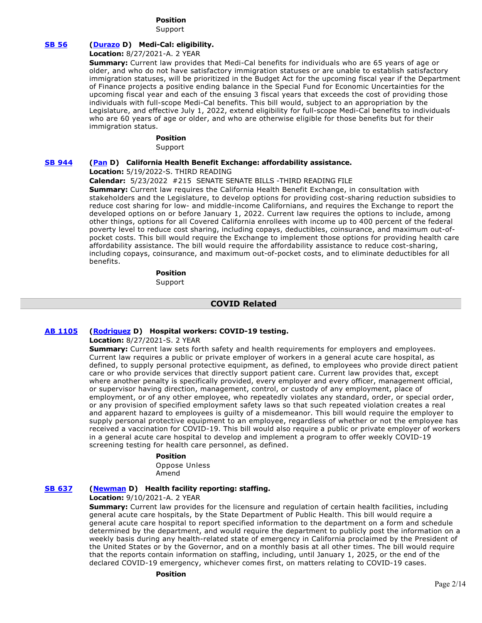# **Position**

Support

# **[SB 56](https://ctweb.capitoltrack.com/public/publishbillinfo.aspx?bi=IHVUG%2FNRNIfXwOxiI9YqyDGCwMPVuHR9m0HdI%2BzVhapXlwnjfJdZucyWxXUdHS%2Fj) [\(Durazo](http://sd24.senate.ca.gov/) D) Medi-Cal: eligibility.**

**Location:** 8/27/2021-A. 2 YEAR

**Summary:** Current law provides that Medi-Cal benefits for individuals who are 65 years of age or older, and who do not have satisfactory immigration statuses or are unable to establish satisfactory immigration statuses, will be prioritized in the Budget Act for the upcoming fiscal year if the Department of Finance projects a positive ending balance in the Special Fund for Economic Uncertainties for the upcoming fiscal year and each of the ensuing 3 fiscal years that exceeds the cost of providing those individuals with full-scope Medi-Cal benefits. This bill would, subject to an appropriation by the Legislature, and effective July 1, 2022, extend eligibility for full-scope Medi-Cal benefits to individuals who are 60 years of age or older, and who are otherwise eligible for those benefits but for their immigration status.

### **Position**

Support

### **[SB 944](https://ctweb.capitoltrack.com/public/publishbillinfo.aspx?bi=%2FzsZ5QTVs4wbwvbps%2Bp9YvPLd%2FwNRw0N4vUPcLf3yiJKWQ2NrzEMrMKckOYf9OuF) [\(Pan](http://sd06.senate.ca.gov/) D) California Health Benefit Exchange: affordability assistance.**

**Location:** 5/19/2022-S. THIRD READING

**Calendar:** 5/23/2022 #215 SENATE SENATE BILLS -THIRD READING FILE

**Summary:** Current law requires the California Health Benefit Exchange, in consultation with stakeholders and the Legislature, to develop options for providing cost-sharing reduction subsidies to reduce cost sharing for low- and middle-income Californians, and requires the Exchange to report the developed options on or before January 1, 2022. Current law requires the options to include, among other things, options for all Covered California enrollees with income up to 400 percent of the federal poverty level to reduce cost sharing, including copays, deductibles, coinsurance, and maximum out-ofpocket costs. This bill would require the Exchange to implement those options for providing health care affordability assistance. The bill would require the affordability assistance to reduce cost-sharing, including copays, coinsurance, and maximum out-of-pocket costs, and to eliminate deductibles for all benefits.

> **Position**  Support

# **COVID Related**

# **[AB 1105](https://ctweb.capitoltrack.com/public/publishbillinfo.aspx?bi=hiMHI%2FFzRHqLRQcFntn%2B%2FNvArtAVnjMKOUrA1hSavVJ64vRkYFefMgHJl1S1m5oV) [\(Rodriguez](https://a52.asmdc.org/) D) Hospital workers: COVID-19 testing.**

**Location:** 8/27/2021-S. 2 YEAR

**Summary:** Current law sets forth safety and health requirements for employers and employees. Current law requires a public or private employer of workers in a general acute care hospital, as defined, to supply personal protective equipment, as defined, to employees who provide direct patient care or who provide services that directly support patient care. Current law provides that, except where another penalty is specifically provided, every employer and every officer, management official, or supervisor having direction, management, control, or custody of any employment, place of employment, or of any other employee, who repeatedly violates any standard, order, or special order, or any provision of specified employment safety laws so that such repeated violation creates a real and apparent hazard to employees is guilty of a misdemeanor. This bill would require the employer to supply personal protective equipment to an employee, regardless of whether or not the employee has received a vaccination for COVID-19. This bill would also require a public or private employer of workers in a general acute care hospital to develop and implement a program to offer weekly COVID-19 screening testing for health care personnel, as defined.

# **Position**

Oppose Unless Amend

# **[SB 637](https://ctweb.capitoltrack.com/public/publishbillinfo.aspx?bi=jty8Oh9%2FB4LwUwfxVBDg2GE8TVcQ8Dq2QDUBofHA3ZtTvmLyiZ6pbei5GkqYnutQ) [\(Newman](https://sd29.senate.ca.gov/) D) Health facility reporting: staffing.**

### **Location:** 9/10/2021-A. 2 YEAR

**Summary:** Current law provides for the licensure and regulation of certain health facilities, including general acute care hospitals, by the State Department of Public Health. This bill would require a general acute care hospital to report specified information to the department on a form and schedule determined by the department, and would require the department to publicly post the information on a weekly basis during any health-related state of emergency in California proclaimed by the President of the United States or by the Governor, and on a monthly basis at all other times. The bill would require that the reports contain information on staffing, including, until January 1, 2025, or the end of the declared COVID-19 emergency, whichever comes first, on matters relating to COVID-19 cases.

### **Position**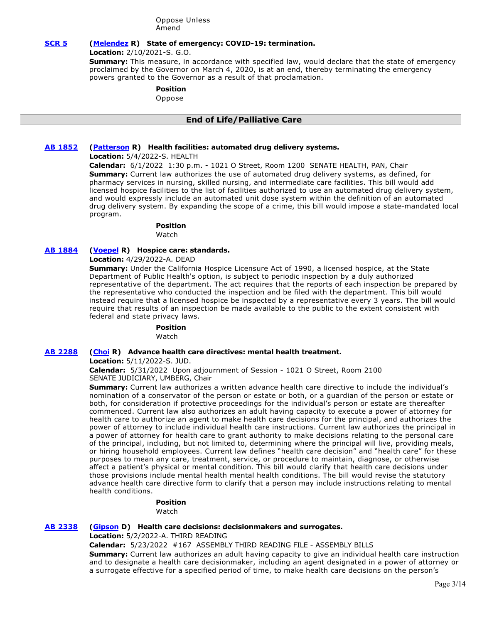Oppose Unless Amend

# **[SCR 5](https://ctweb.capitoltrack.com/public/publishbillinfo.aspx?bi=IMfPvUiYd0qCpRDZUfOVkqwZNifCTtQ13I8EmZrXomV1qwaF0ol9OuqJ5Gl4ooe%2B) [\(Melendez](https://melendez.cssrc.us/) R) State of emergency: COVID-19: termination.**

**Location:** 2/10/2021-S. G.O.

**Summary:** This measure, in accordance with specified law, would declare that the state of emergency proclaimed by the Governor on March 4, 2020, is at an end, thereby terminating the emergency powers granted to the Governor as a result of that proclamation.

**Position** 

Oppose

# **End of Life/Palliative Care**

# **[AB 1852](https://ctweb.capitoltrack.com/public/publishbillinfo.aspx?bi=qualm%2FeNgpyo4JVNTWrO8T9CvcoE02PfTRNruTZu1vEziksjmt5ztJjoFdLRH3zD) [\(Patterson](https://ad23.asmrc.org/) R) Health facilities: automated drug delivery systems.**

**Location:** 5/4/2022-S. HEALTH

**Calendar:** 6/1/2022 1:30 p.m. - 1021 O Street, Room 1200 SENATE HEALTH, PAN, Chair **Summary:** Current law authorizes the use of automated drug delivery systems, as defined, for pharmacy services in nursing, skilled nursing, and intermediate care facilities. This bill would add licensed hospice facilities to the list of facilities authorized to use an automated drug delivery system, and would expressly include an automated unit dose system within the definition of an automated drug delivery system. By expanding the scope of a crime, this bill would impose a state-mandated local program.

# **Position**

Watch

# **[AB 1884](https://ctweb.capitoltrack.com/public/publishbillinfo.aspx?bi=IRLO150F09HcamdyQq8Vzgs7nh9ItrD2BG5rwHgbqALAzqanM1W2rX%2BmFPkhPUMr) [\(Voepel](https://ad71.asmrc.org/) R) Hospice care: standards.**

**Location:** 4/29/2022-A. DEAD

**Summary:** Under the California Hospice Licensure Act of 1990, a licensed hospice, at the State Department of Public Health's option, is subject to periodic inspection by a duly authorized representative of the department. The act requires that the reports of each inspection be prepared by the representative who conducted the inspection and be filed with the department. This bill would instead require that a licensed hospice be inspected by a representative every 3 years. The bill would require that results of an inspection be made available to the public to the extent consistent with federal and state privacy laws.

### **Position**

Watch

# **[AB 2288](https://ctweb.capitoltrack.com/public/publishbillinfo.aspx?bi=8c%2FVel10Jx83p5eIMZPHKV8DGDS1Sz6uWw6AVtQYGCxcUPvvWBLXATEKpde3pwAP) [\(Choi](https://ad68.asmrc.org/) R) Advance health care directives: mental health treatment.**

**Location:** 5/11/2022-S. JUD.

**Calendar:** 5/31/2022 Upon adjournment of Session - 1021 O Street, Room 2100 SENATE JUDICIARY, UMBERG, Chair

**Summary:** Current law authorizes a written advance health care directive to include the individual's nomination of a conservator of the person or estate or both, or a guardian of the person or estate or both, for consideration if protective proceedings for the individual's person or estate are thereafter commenced. Current law also authorizes an adult having capacity to execute a power of attorney for health care to authorize an agent to make health care decisions for the principal, and authorizes the power of attorney to include individual health care instructions. Current law authorizes the principal in a power of attorney for health care to grant authority to make decisions relating to the personal care of the principal, including, but not limited to, determining where the principal will live, providing meals, or hiring household employees. Current law defines "health care decision" and "health care" for these purposes to mean any care, treatment, service, or procedure to maintain, diagnose, or otherwise affect a patient's physical or mental condition. This bill would clarify that health care decisions under those provisions include mental health mental health conditions. The bill would revise the statutory advance health care directive form to clarify that a person may include instructions relating to mental health conditions.

#### **Position**  Watch

# **[AB 2338](https://ctweb.capitoltrack.com/public/publishbillinfo.aspx?bi=Ub8m8V4g1oocGgpChFB9sihH%2FmaIwllM7ISC2afdUyBBvuf4PvZaAQlpFci1laP1) [\(Gipson](https://a64.asmdc.org/) D) Health care decisions: decisionmakers and surrogates.**

**Location:** 5/2/2022-A. THIRD READING

**Calendar:** 5/23/2022 #167 ASSEMBLY THIRD READING FILE - ASSEMBLY BILLS

**Summary:** Current law authorizes an adult having capacity to give an individual health care instruction and to designate a health care decisionmaker, including an agent designated in a power of attorney or a surrogate effective for a specified period of time, to make health care decisions on the person's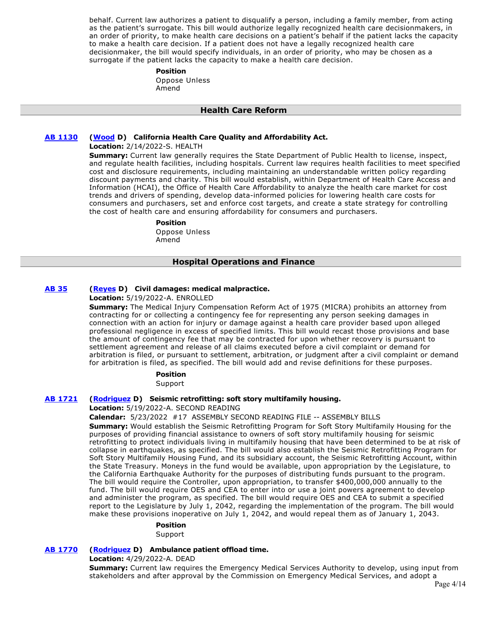behalf. Current law authorizes a patient to disqualify a person, including a family member, from acting as the patient's surrogate. This bill would authorize legally recognized health care decisionmakers, in an order of priority, to make health care decisions on a patient's behalf if the patient lacks the capacity to make a health care decision. If a patient does not have a legally recognized health care decisionmaker, the bill would specify individuals, in an order of priority, who may be chosen as a surrogate if the patient lacks the capacity to make a health care decision.

#### **Position**

Oppose Unless Amend

### **Health Care Reform**

# **[AB 1130](https://ctweb.capitoltrack.com/public/publishbillinfo.aspx?bi=%2F4z9i3w3Ci6H9IC%2FhaF12B%2FZNVr8Dnz3doTjoBJ49C99Q647aqTNngzgXS1VHZrx) [\(Wood](https://a02.asmdc.org/) D) California Health Care Quality and Affordability Act.**

### **Location:** 2/14/2022-S. HEALTH

**Summary:** Current law generally requires the State Department of Public Health to license, inspect, and regulate health facilities, including hospitals. Current law requires health facilities to meet specified cost and disclosure requirements, including maintaining an understandable written policy regarding discount payments and charity. This bill would establish, within Department of Health Care Access and Information (HCAI), the Office of Health Care Affordability to analyze the health care market for cost trends and drivers of spending, develop data-informed policies for lowering health care costs for consumers and purchasers, set and enforce cost targets, and create a state strategy for controlling the cost of health care and ensuring affordability for consumers and purchasers.

### **Position**

Oppose Unless Amend

# **Hospital Operations and Finance**

# **[AB 35](https://ctweb.capitoltrack.com/public/publishbillinfo.aspx?bi=7Y0gKL9VlIU7ThSmQw%2FYv1jbhBJT%2FD8SYj2%2F91VOlPOLXgPlhuYR%2ByClgxoYCP8R) [\(Reyes](https://a47.asmdc.org/) D) Civil damages: medical malpractice.**

# **Location:** 5/19/2022-A. ENROLLED

**Summary:** The Medical Injury Compensation Reform Act of 1975 (MICRA) prohibits an attorney from contracting for or collecting a contingency fee for representing any person seeking damages in connection with an action for injury or damage against a health care provider based upon alleged professional negligence in excess of specified limits. This bill would recast those provisions and base the amount of contingency fee that may be contracted for upon whether recovery is pursuant to settlement agreement and release of all claims executed before a civil complaint or demand for arbitration is filed, or pursuant to settlement, arbitration, or judgment after a civil complaint or demand for arbitration is filed, as specified. The bill would add and revise definitions for these purposes.

> **Position**  Support

# **[AB 1721](https://ctweb.capitoltrack.com/public/publishbillinfo.aspx?bi=2DXSbYZ%2FPT33bNVVbh0xFVpPg4qFn9Sf58vg1MaGfor56R%2BLQd6Ry%2FZHhRFU0o0T) [\(Rodriguez](https://a52.asmdc.org/) D) Seismic retrofitting: soft story multifamily housing.**

### **Location:** 5/19/2022-A. SECOND READING

**Calendar:** 5/23/2022 #17 ASSEMBLY SECOND READING FILE -- ASSEMBLY BILLS

**Summary:** Would establish the Seismic Retrofitting Program for Soft Story Multifamily Housing for the purposes of providing financial assistance to owners of soft story multifamily housing for seismic retrofitting to protect individuals living in multifamily housing that have been determined to be at risk of collapse in earthquakes, as specified. The bill would also establish the Seismic Retrofitting Program for Soft Story Multifamily Housing Fund, and its subsidiary account, the Seismic Retrofitting Account, within the State Treasury. Moneys in the fund would be available, upon appropriation by the Legislature, to the California Earthquake Authority for the purposes of distributing funds pursuant to the program. The bill would require the Controller, upon appropriation, to transfer \$400,000,000 annually to the fund. The bill would require OES and CEA to enter into or use a joint powers agreement to develop and administer the program, as specified. The bill would require OES and CEA to submit a specified report to the Legislature by July 1, 2042, regarding the implementation of the program. The bill would make these provisions inoperative on July 1, 2042, and would repeal them as of January 1, 2043.

### **Position**

Support

# **[AB 1770](https://ctweb.capitoltrack.com/public/publishbillinfo.aspx?bi=XaWwKp6vCvEZ12HaJ6ASnMC6ejVZZzMJbXQM9xrTDsAmydW8yIU2WZ1CZM4uH35Y) [\(Rodriguez](https://a52.asmdc.org/) D) Ambulance patient offload time.**

**Location:** 4/29/2022-A. DEAD

**Summary:** Current law requires the Emergency Medical Services Authority to develop, using input from stakeholders and after approval by the Commission on Emergency Medical Services, and adopt a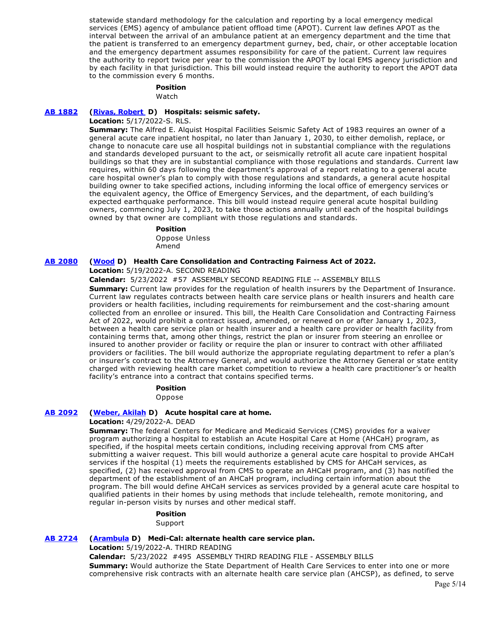statewide standard methodology for the calculation and reporting by a local emergency medical services (EMS) agency of ambulance patient offload time (APOT). Current law defines APOT as the interval between the arrival of an ambulance patient at an emergency department and the time that the patient is transferred to an emergency department gurney, bed, chair, or other acceptable location and the emergency department assumes responsibility for care of the patient. Current law requires the authority to report twice per year to the commission the APOT by local EMS agency jurisdiction and by each facility in that jurisdiction. This bill would instead require the authority to report the APOT data to the commission every 6 months.

#### **Position**  Watch

# **[AB 1882](https://ctweb.capitoltrack.com/public/publishbillinfo.aspx?bi=VPXAvDj9pG%2FqwduV4rLG761q0j5l7nLqcVa9%2FuXBzFKRhN9Jnm5qbtXyicq%2B7zSQ) [\(Rivas, Robert](https://a30.asmdc.org/)  D) Hospitals: seismic safety.**

**Location:** 5/17/2022-S. RLS.

**Summary:** The Alfred E. Alquist Hospital Facilities Seismic Safety Act of 1983 requires an owner of a general acute care inpatient hospital, no later than January 1, 2030, to either demolish, replace, or change to nonacute care use all hospital buildings not in substantial compliance with the regulations and standards developed pursuant to the act, or seismically retrofit all acute care inpatient hospital buildings so that they are in substantial compliance with those regulations and standards. Current law requires, within 60 days following the department's approval of a report relating to a general acute care hospital owner's plan to comply with those regulations and standards, a general acute hospital building owner to take specified actions, including informing the local office of emergency services or the equivalent agency, the Office of Emergency Services, and the department, of each building's expected earthquake performance. This bill would instead require general acute hospital building owners, commencing July 1, 2023, to take those actions annually until each of the hospital buildings owned by that owner are compliant with those regulations and standards.

**Position** 

Oppose Unless Amend

# **[AB 2080](https://ctweb.capitoltrack.com/public/publishbillinfo.aspx?bi=BrMjSa%2Fp%2B1el0x0mo99xnVN%2F4Zn67hWfXnFDoLyihAQ6jctZGFDaEIKaaRhMBJoG) [\(Wood](https://a02.asmdc.org/) D) Health Care Consolidation and Contracting Fairness Act of 2022.**

**Location:** 5/19/2022-A. SECOND READING

**Calendar:** 5/23/2022 #57 ASSEMBLY SECOND READING FILE -- ASSEMBLY BILLS

**Summary:** Current law provides for the regulation of health insurers by the Department of Insurance. Current law regulates contracts between health care service plans or health insurers and health care providers or health facilities, including requirements for reimbursement and the cost-sharing amount collected from an enrollee or insured. This bill, the Health Care Consolidation and Contracting Fairness Act of 2022, would prohibit a contract issued, amended, or renewed on or after January 1, 2023, between a health care service plan or health insurer and a health care provider or health facility from containing terms that, among other things, restrict the plan or insurer from steering an enrollee or insured to another provider or facility or require the plan or insurer to contract with other affiliated providers or facilities. The bill would authorize the appropriate regulating department to refer a plan's or insurer's contract to the Attorney General, and would authorize the Attorney General or state entity charged with reviewing health care market competition to review a health care practitioner's or health facility's entrance into a contract that contains specified terms.

# **Position**

Oppose

# **[AB 2092](https://ctweb.capitoltrack.com/public/publishbillinfo.aspx?bi=TKMkEJtbutzzyr%2ByT%2Bv4P45j%2BAilM0MXEXRwQF119YNhqJLmja3bRhs3ka1s57Wk) [\(Weber, Akilah](https://a79.asmdc.org/) D) Acute hospital care at home.**

**Location:** 4/29/2022-A. DEAD

**Summary:** The federal Centers for Medicare and Medicaid Services (CMS) provides for a waiver program authorizing a hospital to establish an Acute Hospital Care at Home (AHCaH) program, as specified, if the hospital meets certain conditions, including receiving approval from CMS after submitting a waiver request. This bill would authorize a general acute care hospital to provide AHCaH services if the hospital (1) meets the requirements established by CMS for AHCaH services, as specified, (2) has received approval from CMS to operate an AHCaH program, and (3) has notified the department of the establishment of an AHCaH program, including certain information about the program. The bill would define AHCaH services as services provided by a general acute care hospital to qualified patients in their homes by using methods that include telehealth, remote monitoring, and regular in-person visits by nurses and other medical staff.

# **Position**

Support

# **[AB 2724](https://ctweb.capitoltrack.com/public/publishbillinfo.aspx?bi=87zZT%2BgcOhFNBkX00iCCDlRJesDpMdThi05DVxph1WMjt4wiQHTVchVtgdOI00s5) [\(Arambula](https://a31.asmdc.org/) D) Medi-Cal: alternate health care service plan.**

**Location:** 5/19/2022-A. THIRD READING

**Calendar:** 5/23/2022 #495 ASSEMBLY THIRD READING FILE - ASSEMBLY BILLS **Summary:** Would authorize the State Department of Health Care Services to enter into one or more comprehensive risk contracts with an alternate health care service plan (AHCSP), as defined, to serve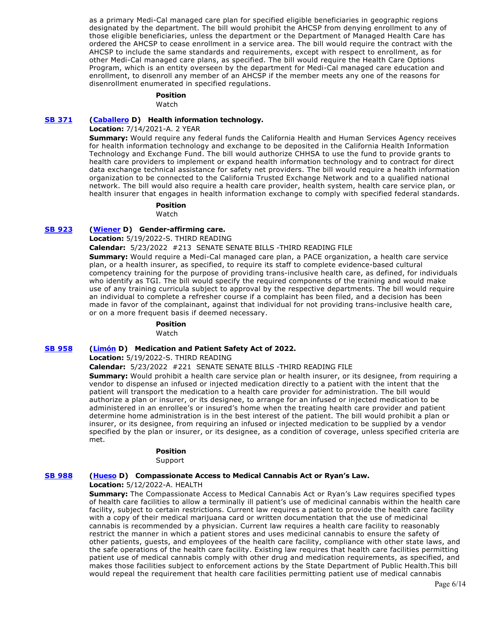as a primary Medi-Cal managed care plan for specified eligible beneficiaries in geographic regions designated by the department. The bill would prohibit the AHCSP from denying enrollment to any of those eligible beneficiaries, unless the department or the Department of Managed Health Care has ordered the AHCSP to cease enrollment in a service area. The bill would require the contract with the AHCSP to include the same standards and requirements, except with respect to enrollment, as for other Medi-Cal managed care plans, as specified. The bill would require the Health Care Options Program, which is an entity overseen by the department for Medi-Cal managed care education and enrollment, to disenroll any member of an AHCSP if the member meets any one of the reasons for disenrollment enumerated in specified regulations.

# **Position**

Watch

### **[SB 371](https://ctweb.capitoltrack.com/public/publishbillinfo.aspx?bi=FKwFW94dXa0YDM7%2FpE%2Fd%2FQvILqz%2BYUfpxz%2FPoEZWfSJmws%2Fn2%2F58%2B%2BM0%2BQkCCvcS) [\(Caballero](https://sd12.senate.ca.gov/) D) Health information technology.**

# **Location:** 7/14/2021-A. 2 YEAR

**Summary:** Would require any federal funds the California Health and Human Services Agency receives for health information technology and exchange to be deposited in the California Health Information Technology and Exchange Fund. The bill would authorize CHHSA to use the fund to provide grants to health care providers to implement or expand health information technology and to contract for direct data exchange technical assistance for safety net providers. The bill would require a health information organization to be connected to the California Trusted Exchange Network and to a qualified national network. The bill would also require a health care provider, health system, health care service plan, or health insurer that engages in health information exchange to comply with specified federal standards.

#### **Position**

Watch

### **[SB 923](https://ctweb.capitoltrack.com/public/publishbillinfo.aspx?bi=39pazsEbiOuX5VLjSaWCmTpAMGWuE9SkxQBy5CHsmAeEKA46%2B7M3zeKfcJ1Ac4e6) [\(Wiener](http://sd11.senate.ca.gov/) D) Gender-affirming care.**

**Location:** 5/19/2022-S. THIRD READING

**Calendar:** 5/23/2022 #213 SENATE SENATE BILLS -THIRD READING FILE

**Summary:** Would require a Medi-Cal managed care plan, a PACE organization, a health care service plan, or a health insurer, as specified, to require its staff to complete evidence-based cultural competency training for the purpose of providing trans-inclusive health care, as defined, for individuals who identify as TGI. The bill would specify the required components of the training and would make use of any training curricula subject to approval by the respective departments. The bill would require an individual to complete a refresher course if a complaint has been filed, and a decision has been made in favor of the complainant, against that individual for not providing trans-inclusive health care, or on a more frequent basis if deemed necessary.

# **Position**

Watch

# **[SB 958](https://ctweb.capitoltrack.com/public/publishbillinfo.aspx?bi=TmxQzrW7K42F5U7topB%2Fsd6BFt9G9v5WzRLRsZkfrXtFhSBM%2BYWUSmRBcBAbfmA2) [\(Limón](http://sd19.senate.ca.gov/) D) Medication and Patient Safety Act of 2022.**

**Location:** 5/19/2022-S. THIRD READING

**Calendar:** 5/23/2022 #221 SENATE SENATE BILLS -THIRD READING FILE

**Summary:** Would prohibit a health care service plan or health insurer, or its designee, from requiring a vendor to dispense an infused or injected medication directly to a patient with the intent that the patient will transport the medication to a health care provider for administration. The bill would authorize a plan or insurer, or its designee, to arrange for an infused or injected medication to be administered in an enrollee's or insured's home when the treating health care provider and patient determine home administration is in the best interest of the patient. The bill would prohibit a plan or insurer, or its designee, from requiring an infused or injected medication to be supplied by a vendor specified by the plan or insurer, or its designee, as a condition of coverage, unless specified criteria are met.

### **Position**

Support

### **[SB 988](https://ctweb.capitoltrack.com/public/publishbillinfo.aspx?bi=F7CG%2BT%2BNdNyOJ507U6RjjvW7rDsASagLmcuZ64LyFVUAHXbTn9BlVmjyYTgF1QL6) [\(Hueso](http://sd40.senate.ca.gov/) D) Compassionate Access to Medical Cannabis Act or Ryan's Law.**

**Location:** 5/12/2022-A. HEALTH

**Summary:** The Compassionate Access to Medical Cannabis Act or Ryan's Law requires specified types of health care facilities to allow a terminally ill patient's use of medicinal cannabis within the health care facility, subject to certain restrictions. Current law requires a patient to provide the health care facility with a copy of their medical marijuana card or written documentation that the use of medicinal cannabis is recommended by a physician. Current law requires a health care facility to reasonably restrict the manner in which a patient stores and uses medicinal cannabis to ensure the safety of other patients, guests, and employees of the health care facility, compliance with other state laws, and the safe operations of the health care facility. Existing law requires that health care facilities permitting patient use of medical cannabis comply with other drug and medication requirements, as specified, and makes those facilities subject to enforcement actions by the State Department of Public Health.This bill would repeal the requirement that health care facilities permitting patient use of medical cannabis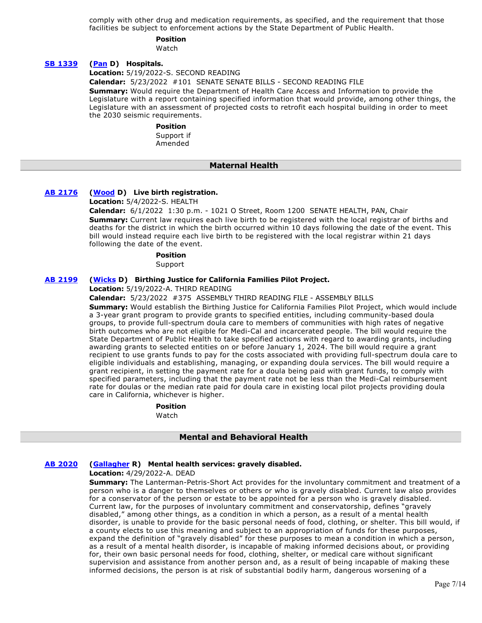comply with other drug and medication requirements, as specified, and the requirement that those facilities be subject to enforcement actions by the State Department of Public Health.

# **Position**

Watch

# **[SB 1339](https://ctweb.capitoltrack.com/public/publishbillinfo.aspx?bi=M4%2FWAIBkDIxPIq%2B4Pg%2BH9mCLP0SUdmtN3OsXIg1YITaIdGmpiRHbPWtnSe35fDxi) [\(Pan](http://sd06.senate.ca.gov/) D) Hospitals.**

**Location:** 5/19/2022-S. SECOND READING

**Calendar:** 5/23/2022 #101 SENATE SENATE BILLS - SECOND READING FILE

**Summary:** Would require the Department of Health Care Access and Information to provide the Legislature with a report containing specified information that would provide, among other things, the Legislature with an assessment of projected costs to retrofit each hospital building in order to meet the 2030 seismic requirements.

> **Position**  Support if

Amended

# **Maternal Health**

# **[AB 2176](https://ctweb.capitoltrack.com/public/publishbillinfo.aspx?bi=HR5stFFQM15tK2ecm1FQBtQ2R9yfZG%2F%2FxuYPRWUzWzI3lF7e%2FBS%2FdDYhYzD3Z1Jp) [\(Wood](https://a02.asmdc.org/) D) Live birth registration.**

**Location:** 5/4/2022-S. HEALTH

**Calendar:** 6/1/2022 1:30 p.m. - 1021 O Street, Room 1200 SENATE HEALTH, PAN, Chair **Summary:** Current law requires each live birth to be registered with the local registrar of births and deaths for the district in which the birth occurred within 10 days following the date of the event. This bill would instead require each live birth to be registered with the local registrar within 21 days following the date of the event.

# **Position**

Support

# **[AB 2199](https://ctweb.capitoltrack.com/public/publishbillinfo.aspx?bi=B97llTW33MVSMinNtoGET%2Fw1JtFyrvCEcXQnAzzfEb%2B%2BbT%2B%2BVjbwDDHRNwo4DirP) [\(Wicks](https://a15.asmdc.org/) D) Birthing Justice for California Families Pilot Project.**

**Location:** 5/19/2022-A. THIRD READING

**Calendar:** 5/23/2022 #375 ASSEMBLY THIRD READING FILE - ASSEMBLY BILLS

**Summary:** Would establish the Birthing Justice for California Families Pilot Project, which would include a 3-year grant program to provide grants to specified entities, including community-based doula groups, to provide full-spectrum doula care to members of communities with high rates of negative birth outcomes who are not eligible for Medi-Cal and incarcerated people. The bill would require the State Department of Public Health to take specified actions with regard to awarding grants, including awarding grants to selected entities on or before January 1, 2024. The bill would require a grant recipient to use grants funds to pay for the costs associated with providing full-spectrum doula care to eligible individuals and establishing, managing, or expanding doula services. The bill would require a grant recipient, in setting the payment rate for a doula being paid with grant funds, to comply with specified parameters, including that the payment rate not be less than the Medi-Cal reimbursement rate for doulas or the median rate paid for doula care in existing local pilot projects providing doula care in California, whichever is higher.

**Position** 

Watch

# **Mental and Behavioral Health**

# **[AB 2020](https://ctweb.capitoltrack.com/public/publishbillinfo.aspx?bi=tS0WXa6hk%2Fc9UYHKryiX1wE7IUFxx7OxylcghZMJ%2BRIrueMd8SBj9OfzN6y3RCul) [\(Gallagher](http://ad03.asmrc.org/) R) Mental health services: gravely disabled.**

**Location:** 4/29/2022-A. DEAD

**Summary:** The Lanterman-Petris-Short Act provides for the involuntary commitment and treatment of a person who is a danger to themselves or others or who is gravely disabled. Current law also provides for a conservator of the person or estate to be appointed for a person who is gravely disabled. Current law, for the purposes of involuntary commitment and conservatorship, defines "gravely disabled," among other things, as a condition in which a person, as a result of a mental health disorder, is unable to provide for the basic personal needs of food, clothing, or shelter. This bill would, if a county elects to use this meaning and subject to an appropriation of funds for these purposes, expand the definition of "gravely disabled" for these purposes to mean a condition in which a person, as a result of a mental health disorder, is incapable of making informed decisions about, or providing for, their own basic personal needs for food, clothing, shelter, or medical care without significant supervision and assistance from another person and, as a result of being incapable of making these informed decisions, the person is at risk of substantial bodily harm, dangerous worsening of a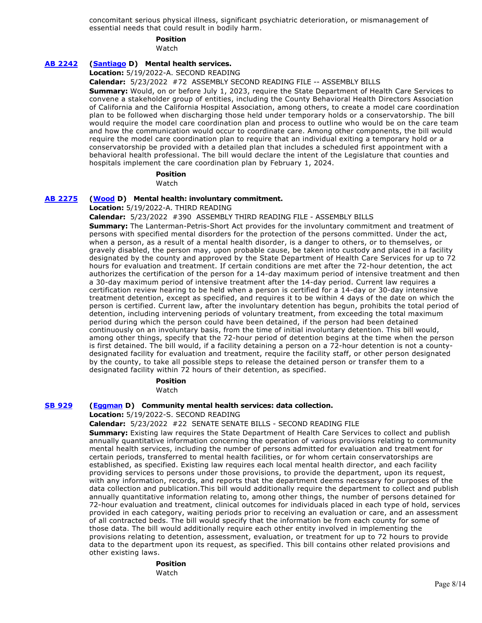concomitant serious physical illness, significant psychiatric deterioration, or mismanagement of essential needs that could result in bodily harm.

# **Position**

Watch

# **[AB 2242](https://ctweb.capitoltrack.com/public/publishbillinfo.aspx?bi=tW0Px2k928GoYUqUlBpNc5D%2BTT3JazR3dDOUvNpT%2FdLWNwRgq%2B%2BcTLa8ikiTOeNH) [\(Santiago](https://a53.asmdc.org/) D) Mental health services.**

**Location:** 5/19/2022-A. SECOND READING

**Calendar:** 5/23/2022 #72 ASSEMBLY SECOND READING FILE -- ASSEMBLY BILLS

**Summary:** Would, on or before July 1, 2023, require the State Department of Health Care Services to convene a stakeholder group of entities, including the County Behavioral Health Directors Association of California and the California Hospital Association, among others, to create a model care coordination plan to be followed when discharging those held under temporary holds or a conservatorship. The bill would require the model care coordination plan and process to outline who would be on the care team and how the communication would occur to coordinate care. Among other components, the bill would require the model care coordination plan to require that an individual exiting a temporary hold or a conservatorship be provided with a detailed plan that includes a scheduled first appointment with a behavioral health professional. The bill would declare the intent of the Legislature that counties and hospitals implement the care coordination plan by February 1, 2024.

# **Position**

Watch

# **[AB 2275](https://ctweb.capitoltrack.com/public/publishbillinfo.aspx?bi=6%2B4eC%2F2OHK4kZpkW4rQYXdsRhhq65kyQXKEeISRQgKwMRP5lhgytut8yJKWj%2Bb%2F%2B) [\(Wood](https://a02.asmdc.org/) D) Mental health: involuntary commitment.**

**Location:** 5/19/2022-A. THIRD READING

**Calendar:** 5/23/2022 #390 ASSEMBLY THIRD READING FILE - ASSEMBLY BILLS

**Summary:** The Lanterman-Petris-Short Act provides for the involuntary commitment and treatment of persons with specified mental disorders for the protection of the persons committed. Under the act, when a person, as a result of a mental health disorder, is a danger to others, or to themselves, or gravely disabled, the person may, upon probable cause, be taken into custody and placed in a facility designated by the county and approved by the State Department of Health Care Services for up to 72 hours for evaluation and treatment. If certain conditions are met after the 72-hour detention, the act authorizes the certification of the person for a 14-day maximum period of intensive treatment and then a 30-day maximum period of intensive treatment after the 14-day period. Current law requires a certification review hearing to be held when a person is certified for a 14-day or 30-day intensive treatment detention, except as specified, and requires it to be within 4 days of the date on which the person is certified. Current law, after the involuntary detention has begun, prohibits the total period of detention, including intervening periods of voluntary treatment, from exceeding the total maximum period during which the person could have been detained, if the person had been detained continuously on an involuntary basis, from the time of initial involuntary detention. This bill would, among other things, specify that the 72-hour period of detention begins at the time when the person is first detained. The bill would, if a facility detaining a person on a 72-hour detention is not a countydesignated facility for evaluation and treatment, require the facility staff, or other person designated by the county, to take all possible steps to release the detained person or transfer them to a designated facility within 72 hours of their detention, as specified.

# **Position**

Watch

### **[SB 929](https://ctweb.capitoltrack.com/public/publishbillinfo.aspx?bi=K1EgGJfTiuEq7osejnFiAvKE0cv5VAYh3Egp6x3ASrir6ID8%2BVA4DnZaIUHlfT%2Bp) [\(Eggman](http://sd05.senate.ca.gov/) D) Community mental health services: data collection.**

**Location:** 5/19/2022-S. SECOND READING

**Calendar:** 5/23/2022 #22 SENATE SENATE BILLS - SECOND READING FILE

**Summary:** Existing law requires the State Department of Health Care Services to collect and publish annually quantitative information concerning the operation of various provisions relating to community mental health services, including the number of persons admitted for evaluation and treatment for certain periods, transferred to mental health facilities, or for whom certain conservatorships are established, as specified. Existing law requires each local mental health director, and each facility providing services to persons under those provisions, to provide the department, upon its request, with any information, records, and reports that the department deems necessary for purposes of the data collection and publication.This bill would additionally require the department to collect and publish annually quantitative information relating to, among other things, the number of persons detained for 72-hour evaluation and treatment, clinical outcomes for individuals placed in each type of hold, services provided in each category, waiting periods prior to receiving an evaluation or care, and an assessment of all contracted beds. The bill would specify that the information be from each county for some of those data. The bill would additionally require each other entity involved in implementing the provisions relating to detention, assessment, evaluation, or treatment for up to 72 hours to provide data to the department upon its request, as specified. This bill contains other related provisions and other existing laws.

> **Position**  Watch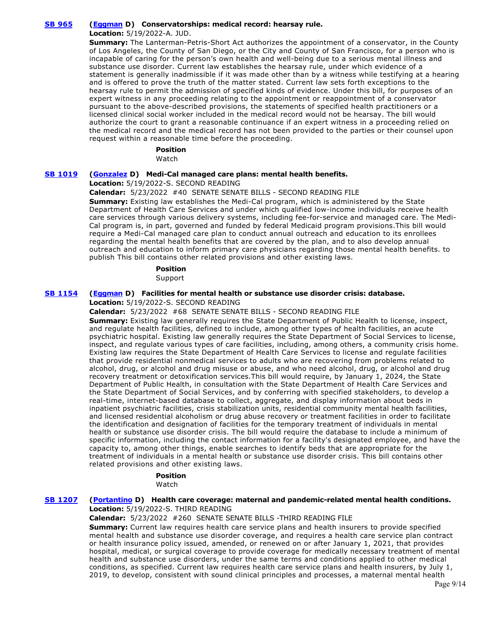# **[SB 965](https://ctweb.capitoltrack.com/public/publishbillinfo.aspx?bi=EcBoEmtCkfUIgWFS60%2BT2jNFPGjQW4TEFSyUZPg5nHkbDrTBqIA0Hg4CBeChnTGO) [\(Eggman](http://sd05.senate.ca.gov/) D) Conservatorships: medical record: hearsay rule.**

**Location:** 5/19/2022-A. JUD.

**Summary:** The Lanterman-Petris-Short Act authorizes the appointment of a conservator, in the County of Los Angeles, the County of San Diego, or the City and County of San Francisco, for a person who is incapable of caring for the person's own health and well-being due to a serious mental illness and substance use disorder. Current law establishes the hearsay rule, under which evidence of a statement is generally inadmissible if it was made other than by a witness while testifying at a hearing and is offered to prove the truth of the matter stated. Current law sets forth exceptions to the hearsay rule to permit the admission of specified kinds of evidence. Under this bill, for purposes of an expert witness in any proceeding relating to the appointment or reappointment of a conservator pursuant to the above-described provisions, the statements of specified health practitioners or a licensed clinical social worker included in the medical record would not be hearsay. The bill would authorize the court to grant a reasonable continuance if an expert witness in a proceeding relied on the medical record and the medical record has not been provided to the parties or their counsel upon request within a reasonable time before the proceeding.

### **Position**

Watch

# **[SB 1019](https://ctweb.capitoltrack.com/public/publishbillinfo.aspx?bi=CB4uoxlx3KlgPDSkItME2Mct4%2BnWQivAzuUEA%2FGtJKGOZVg9zDoiwk%2FgdZsrbHgM) [\(Gonzalez](https://sd33.senate.ca.gov/) D) Medi-Cal managed care plans: mental health benefits.**

**Location:** 5/19/2022-S. SECOND READING

### **Calendar:** 5/23/2022 #40 SENATE SENATE BILLS - SECOND READING FILE

**Summary:** Existing law establishes the Medi-Cal program, which is administered by the State Department of Health Care Services and under which qualified low-income individuals receive health care services through various delivery systems, including fee-for-service and managed care. The Medi-Cal program is, in part, governed and funded by federal Medicaid program provisions.This bill would require a Medi-Cal managed care plan to conduct annual outreach and education to its enrollees regarding the mental health benefits that are covered by the plan, and to also develop annual outreach and education to inform primary care physicians regarding those mental health benefits. to publish This bill contains other related provisions and other existing laws.

# **Position**

Support

### **[SB 1154](https://ctweb.capitoltrack.com/public/publishbillinfo.aspx?bi=SIKAOyzcp9FkyXJhcMR9GR2Egtn5F2XPT8llha1sFjI3%2Bfiu9BuGN6dHSamI%2BSLc) [\(Eggman](http://sd05.senate.ca.gov/) D) Facilities for mental health or substance use disorder crisis: database. Location:** 5/19/2022-S. SECOND READING

**Calendar:** 5/23/2022 #68 SENATE SENATE BILLS - SECOND READING FILE

**Summary:** Existing law generally requires the State Department of Public Health to license, inspect, and regulate health facilities, defined to include, among other types of health facilities, an acute psychiatric hospital. Existing law generally requires the State Department of Social Services to license, inspect, and regulate various types of care facilities, including, among others, a community crisis home. Existing law requires the State Department of Health Care Services to license and regulate facilities that provide residential nonmedical services to adults who are recovering from problems related to alcohol, drug, or alcohol and drug misuse or abuse, and who need alcohol, drug, or alcohol and drug recovery treatment or detoxification services.This bill would require, by January 1, 2024, the State Department of Public Health, in consultation with the State Department of Health Care Services and the State Department of Social Services, and by conferring with specified stakeholders, to develop a real-time, internet-based database to collect, aggregate, and display information about beds in inpatient psychiatric facilities, crisis stabilization units, residential community mental health facilities, and licensed residential alcoholism or drug abuse recovery or treatment facilities in order to facilitate the identification and designation of facilities for the temporary treatment of individuals in mental health or substance use disorder crisis. The bill would require the database to include a minimum of specific information, including the contact information for a facility's designated employee, and have the capacity to, among other things, enable searches to identify beds that are appropriate for the treatment of individuals in a mental health or substance use disorder crisis. This bill contains other related provisions and other existing laws.

### **Position**

Watch

### **[SB 1207](https://ctweb.capitoltrack.com/public/publishbillinfo.aspx?bi=BfIx7qoFszHnGuBPvgrsCNlzVb%2FguaISm4gq8vZJ8vplHToKryThIU6CglO4oR8I) [\(Portantino](http://sd25.senate.ca.gov/) D) Health care coverage: maternal and pandemic-related mental health conditions. Location:** 5/19/2022-S. THIRD READING

# **Calendar:** 5/23/2022 #260 SENATE SENATE BILLS -THIRD READING FILE

**Summary:** Current law requires health care service plans and health insurers to provide specified mental health and substance use disorder coverage, and requires a health care service plan contract or health insurance policy issued, amended, or renewed on or after January 1, 2021, that provides hospital, medical, or surgical coverage to provide coverage for medically necessary treatment of mental health and substance use disorders, under the same terms and conditions applied to other medical conditions, as specified. Current law requires health care service plans and health insurers, by July 1, 2019, to develop, consistent with sound clinical principles and processes, a maternal mental health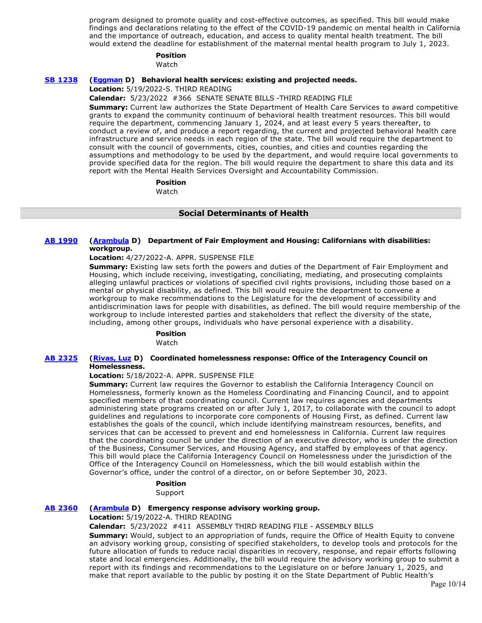program designed to promote quality and cost-effective outcomes, as specified. This bill would make findings and declarations relating to the effect of the COVID-19 pandemic on mental health in California and the importance of outreach, education, and access to quality mental health treatment. The bill would extend the deadline for establishment of the maternal mental health program to July 1, 2023.

### **Position**

Watch

### **[SB 1238](https://ctweb.capitoltrack.com/public/publishbillinfo.aspx?bi=OjZg0htuH1gY6vn7BX7VkAtMWvftGXa2GK50z6GXmrUtrSNlmId1%2BKxskLJFZ7oZ) [\(Eggman](http://sd05.senate.ca.gov/) D) Behavioral health services: existing and projected needs.**

**Location:** 5/19/2022-S. THIRD READING

**Calendar:** 5/23/2022 #366 SENATE SENATE BILLS -THIRD READING FILE

**Summary:** Current law authorizes the State Department of Health Care Services to award competitive grants to expand the community continuum of behavioral health treatment resources. This bill would require the department, commencing January 1, 2024, and at least every 5 years thereafter, to conduct a review of, and produce a report regarding, the current and projected behavioral health care infrastructure and service needs in each region of the state. The bill would require the department to consult with the council of governments, cities, counties, and cities and counties regarding the assumptions and methodology to be used by the department, and would require local governments to provide specified data for the region. The bill would require the department to share this data and its report with the Mental Health Services Oversight and Accountability Commission.

# **Position**

Watch

### **Social Determinants of Health**

### **[AB 1990](https://ctweb.capitoltrack.com/public/publishbillinfo.aspx?bi=yj9bY3m9DIhQHIRAyYA9MCUQhJJFoBJcqUtIgQ6jAR0ciLmv8w%2BI7yw92Fqj9EQq) [\(Arambula](https://a31.asmdc.org/) D) Department of Fair Employment and Housing: Californians with disabilities: workgroup.**

### **Location:** 4/27/2022-A. APPR. SUSPENSE FILE

**Summary:** Existing law sets forth the powers and duties of the Department of Fair Employment and Housing, which include receiving, investigating, conciliating, mediating, and prosecuting complaints alleging unlawful practices or violations of specified civil rights provisions, including those based on a mental or physical disability, as defined. This bill would require the department to convene a workgroup to make recommendations to the Legislature for the development of accessibility and antidiscrimination laws for people with disabilities, as defined. The bill would require membership of the workgroup to include interested parties and stakeholders that reflect the diversity of the state, including, among other groups, individuals who have personal experience with a disability.

# **Position**

Watch

### **[AB 2325](https://ctweb.capitoltrack.com/public/publishbillinfo.aspx?bi=a5evlwACzysVv6pvP%2FzjuKuSFgvQ0e7Y8G6Vaaz7r8kY70JSByZQQohGBKdnVn68) [\(Rivas, Luz](https://a39.asmdc.org/) D) Coordinated homelessness response: Office of the Interagency Council on Homelessness.**

### **Location:** 5/18/2022-A. APPR. SUSPENSE FILE

**Summary:** Current law requires the Governor to establish the California Interagency Council on Homelessness, formerly known as the Homeless Coordinating and Financing Council, and to appoint specified members of that coordinating council. Current law requires agencies and departments administering state programs created on or after July 1, 2017, to collaborate with the council to adopt guidelines and regulations to incorporate core components of Housing First, as defined. Current law establishes the goals of the council, which include identifying mainstream resources, benefits, and services that can be accessed to prevent and end homelessness in California. Current law requires that the coordinating council be under the direction of an executive director, who is under the direction of the Business, Consumer Services, and Housing Agency, and staffed by employees of that agency. This bill would place the California Interagency Council on Homelessness under the jurisdiction of the Office of the Interagency Council on Homelessness, which the bill would establish within the Governor's office, under the control of a director, on or before September 30, 2023.

### **Position**

Support

# **[AB 2360](https://ctweb.capitoltrack.com/public/publishbillinfo.aspx?bi=S4o5WDo9%2B9AfENOBq%2BBIePxxgnNqMH86Fznz%2F0bytCshN%2BV4xg6B4KMdUbdPaY%2B9) [\(Arambula](https://a31.asmdc.org/) D) Emergency response advisory working group.**

**Location:** 5/19/2022-A. THIRD READING

**Calendar:** 5/23/2022 #411 ASSEMBLY THIRD READING FILE - ASSEMBLY BILLS

**Summary:** Would, subject to an appropriation of funds, require the Office of Health Equity to convene an advisory working group, consisting of specified stakeholders, to develop tools and protocols for the future allocation of funds to reduce racial disparities in recovery, response, and repair efforts following state and local emergencies. Additionally, the bill would require the advisory working group to submit a report with its findings and recommendations to the Legislature on or before January 1, 2025, and make that report available to the public by posting it on the State Department of Public Health's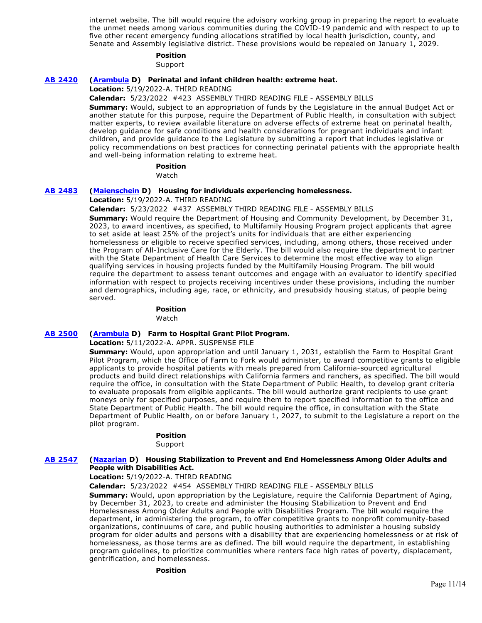internet website. The bill would require the advisory working group in preparing the report to evaluate the unmet needs among various communities during the COVID-19 pandemic and with respect to up to five other recent emergency funding allocations stratified by local health jurisdiction, county, and Senate and Assembly legislative district. These provisions would be repealed on January 1, 2029.

### **Position**

Support

### **[AB 2420](https://ctweb.capitoltrack.com/public/publishbillinfo.aspx?bi=oICQ%2FFgYItZLolaL2dRDXnfClKQLofva2wZPE9pvuqaKp6tjCi9Mk3wWwr3hpRlR) [\(Arambula](https://a31.asmdc.org/) D) Perinatal and infant children health: extreme heat.**

**Location:** 5/19/2022-A. THIRD READING

**Calendar:** 5/23/2022 #423 ASSEMBLY THIRD READING FILE - ASSEMBLY BILLS **Summary:** Would, subject to an appropriation of funds by the Legislature in the annual Budget Act or another statute for this purpose, require the Department of Public Health, in consultation with subject matter experts, to review available literature on adverse effects of extreme heat on perinatal health, develop guidance for safe conditions and health considerations for pregnant individuals and infant

children, and provide guidance to the Legislature by submitting a report that includes legislative or policy recommendations on best practices for connecting perinatal patients with the appropriate health and well-being information relating to extreme heat.

# **Position**

Watch

### **[AB 2483](https://ctweb.capitoltrack.com/public/publishbillinfo.aspx?bi=D8ALISlvGWriTRFrh2c7xhf%2FvkYFV1T4CcvaFlaTPiwF%2Bwy2I%2FveD5vs1jcbsWSA) [\(Maienschein](https://a77.asmdc.org/) D) Housing for individuals experiencing homelessness.**

### **Location:** 5/19/2022-A. THIRD READING

**Calendar:** 5/23/2022 #437 ASSEMBLY THIRD READING FILE - ASSEMBLY BILLS **Summary:** Would require the Department of Housing and Community Development, by December 31,

2023, to award incentives, as specified, to Multifamily Housing Program project applicants that agree to set aside at least 25% of the project's units for individuals that are either experiencing homelessness or eligible to receive specified services, including, among others, those received under the Program of All-Inclusive Care for the Elderly. The bill would also require the department to partner with the State Department of Health Care Services to determine the most effective way to align qualifying services in housing projects funded by the Multifamily Housing Program. The bill would require the department to assess tenant outcomes and engage with an evaluator to identify specified information with respect to projects receiving incentives under these provisions, including the number and demographics, including age, race, or ethnicity, and presubsidy housing status, of people being served.

#### **Position**  Watch

# **[AB 2500](https://ctweb.capitoltrack.com/public/publishbillinfo.aspx?bi=R5th4x12sWd7IS0SDMQmVPoHGkSh2%2BzZqLevAUppNOk7FzvvGu%2B%2FiCTW3thUNuYz) [\(Arambula](https://a31.asmdc.org/) D) Farm to Hospital Grant Pilot Program.**

**Location:** 5/11/2022-A. APPR. SUSPENSE FILE

**Summary:** Would, upon appropriation and until January 1, 2031, establish the Farm to Hospital Grant Pilot Program, which the Office of Farm to Fork would administer, to award competitive grants to eligible applicants to provide hospital patients with meals prepared from California-sourced agricultural products and build direct relationships with California farmers and ranchers, as specified. The bill would require the office, in consultation with the State Department of Public Health, to develop grant criteria to evaluate proposals from eligible applicants. The bill would authorize grant recipients to use grant moneys only for specified purposes, and require them to report specified information to the office and State Department of Public Health. The bill would require the office, in consultation with the State Department of Public Health, on or before January 1, 2027, to submit to the Legislature a report on the pilot program.

### **Position**

Support

### **[AB 2547](https://ctweb.capitoltrack.com/public/publishbillinfo.aspx?bi=%2BjqqYL0OiE%2FqHw9kLLjN53sVEgSzZEvrL%2ByB76wKjEDNYCApYjFKWscJ5Be%2B7Tb9) [\(Nazarian](https://a46.asmdc.org/) D) Housing Stabilization to Prevent and End Homelessness Among Older Adults and People with Disabilities Act.**

**Location:** 5/19/2022-A. THIRD READING

**Calendar:** 5/23/2022 #454 ASSEMBLY THIRD READING FILE - ASSEMBLY BILLS

**Summary:** Would, upon appropriation by the Legislature, require the California Department of Aging, by December 31, 2023, to create and administer the Housing Stabilization to Prevent and End Homelessness Among Older Adults and People with Disabilities Program. The bill would require the department, in administering the program, to offer competitive grants to nonprofit community-based organizations, continuums of care, and public housing authorities to administer a housing subsidy program for older adults and persons with a disability that are experiencing homelessness or at risk of homelessness, as those terms are as defined. The bill would require the department, in establishing program guidelines, to prioritize communities where renters face high rates of poverty, displacement, gentrification, and homelessness.

**Position**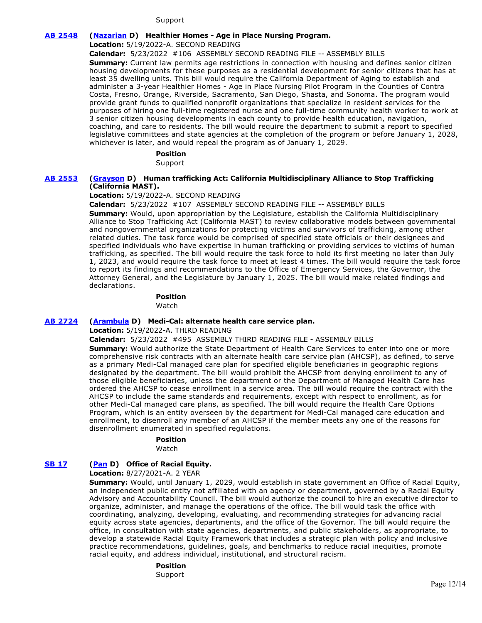### Support

### **[AB 2548](https://ctweb.capitoltrack.com/public/publishbillinfo.aspx?bi=iMkIjM9XyZD32%2Fj6x%2BOY1WYrdSxHgUdGs5rif9yCx5R0v8NV34fz4PwFaHvRMvsx) [\(Nazarian](https://a46.asmdc.org/) D) Healthier Homes - Age in Place Nursing Program.**

**Location:** 5/19/2022-A. SECOND READING

**Calendar:** 5/23/2022 #106 ASSEMBLY SECOND READING FILE -- ASSEMBLY BILLS

**Summary:** Current law permits age restrictions in connection with housing and defines senior citizen housing developments for these purposes as a residential development for senior citizens that has at least 35 dwelling units. This bill would require the California Department of Aging to establish and administer a 3-year Healthier Homes - Age in Place Nursing Pilot Program in the Counties of Contra Costa, Fresno, Orange, Riverside, Sacramento, San Diego, Shasta, and Sonoma. The program would provide grant funds to qualified nonprofit organizations that specialize in resident services for the purposes of hiring one full-time registered nurse and one full-time community health worker to work at 3 senior citizen housing developments in each county to provide health education, navigation, coaching, and care to residents. The bill would require the department to submit a report to specified legislative committees and state agencies at the completion of the program or before January 1, 2028, whichever is later, and would repeal the program as of January 1, 2029.

### **Position**

Support

# **[AB 2553](https://ctweb.capitoltrack.com/public/publishbillinfo.aspx?bi=JmcoXzoeJiXFLcZch5yigde%2Bcyy4elaRAQx8ZwBkxckV2qJ3VW3vVbh7hYI6INbe) [\(Grayson](https://a14.asmdc.org/) D) Human trafficking Act: California Multidisciplinary Alliance to Stop Trafficking (California MAST).**

**Location:** 5/19/2022-A. SECOND READING

**Calendar:** 5/23/2022 #107 ASSEMBLY SECOND READING FILE -- ASSEMBLY BILLS

**Summary:** Would, upon appropriation by the Legislature, establish the California Multidisciplinary Alliance to Stop Trafficking Act (California MAST) to review collaborative models between governmental and nongovernmental organizations for protecting victims and survivors of trafficking, among other related duties. The task force would be comprised of specified state officials or their designees and specified individuals who have expertise in human trafficking or providing services to victims of human trafficking, as specified. The bill would require the task force to hold its first meeting no later than July 1, 2023, and would require the task force to meet at least 4 times. The bill would require the task force to report its findings and recommendations to the Office of Emergency Services, the Governor, the Attorney General, and the Legislature by January 1, 2025. The bill would make related findings and declarations.

### **Position**

Watch

### **[AB 2724](https://ctweb.capitoltrack.com/public/publishbillinfo.aspx?bi=87zZT%2BgcOhFNBkX00iCCDlRJesDpMdThi05DVxph1WMjt4wiQHTVchVtgdOI00s5) [\(Arambula](https://a31.asmdc.org/) D) Medi-Cal: alternate health care service plan.**

**Location:** 5/19/2022-A. THIRD READING

**Calendar:** 5/23/2022 #495 ASSEMBLY THIRD READING FILE - ASSEMBLY BILLS

**Summary:** Would authorize the State Department of Health Care Services to enter into one or more comprehensive risk contracts with an alternate health care service plan (AHCSP), as defined, to serve as a primary Medi-Cal managed care plan for specified eligible beneficiaries in geographic regions designated by the department. The bill would prohibit the AHCSP from denying enrollment to any of those eligible beneficiaries, unless the department or the Department of Managed Health Care has ordered the AHCSP to cease enrollment in a service area. The bill would require the contract with the AHCSP to include the same standards and requirements, except with respect to enrollment, as for other Medi-Cal managed care plans, as specified. The bill would require the Health Care Options Program, which is an entity overseen by the department for Medi-Cal managed care education and enrollment, to disenroll any member of an AHCSP if the member meets any one of the reasons for disenrollment enumerated in specified regulations.

# **Position**

Watch

# **[SB 17](https://ctweb.capitoltrack.com/public/publishbillinfo.aspx?bi=dBaE3CGJpiGexGpCGI9ZA9mGDSu3R3h8gdgNi5yyapMHbWZPikU1e7jTWnNDjpL9) [\(Pan](http://sd06.senate.ca.gov/) D) Office of Racial Equity.**

**Location:** 8/27/2021-A. 2 YEAR

**Summary:** Would, until January 1, 2029, would establish in state government an Office of Racial Equity, an independent public entity not affiliated with an agency or department, governed by a Racial Equity Advisory and Accountability Council. The bill would authorize the council to hire an executive director to organize, administer, and manage the operations of the office. The bill would task the office with coordinating, analyzing, developing, evaluating, and recommending strategies for advancing racial equity across state agencies, departments, and the office of the Governor. The bill would require the office, in consultation with state agencies, departments, and public stakeholders, as appropriate, to develop a statewide Racial Equity Framework that includes a strategic plan with policy and inclusive practice recommendations, guidelines, goals, and benchmarks to reduce racial inequities, promote racial equity, and address individual, institutional, and structural racism.

### **Position**  Support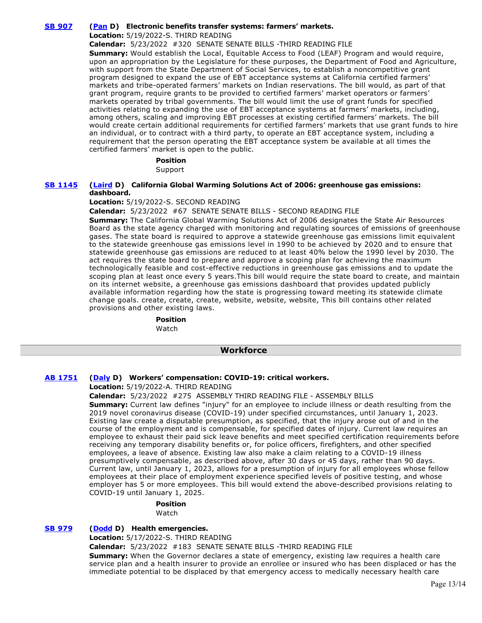### **[SB 907](https://ctweb.capitoltrack.com/public/publishbillinfo.aspx?bi=nIx6X2crzmFr0TWxcYW%2B9kpY%2B5Vcf%2FQzpoT2zOu%2Bk6kh9IF0klsUId4YkFjXzovS) [\(Pan](http://sd06.senate.ca.gov/) D) Electronic benefits transfer systems: farmers' markets.**

**Location:** 5/19/2022-S. THIRD READING

**Calendar:** 5/23/2022 #320 SENATE SENATE BILLS -THIRD READING FILE

**Summary:** Would establish the Local, Equitable Access to Food (LEAF) Program and would require, upon an appropriation by the Legislature for these purposes, the Department of Food and Agriculture, with support from the State Department of Social Services, to establish a noncompetitive grant program designed to expand the use of EBT acceptance systems at California certified farmers' markets and tribe-operated farmers' markets on Indian reservations. The bill would, as part of that grant program, require grants to be provided to certified farmers' market operators or farmers' markets operated by tribal governments. The bill would limit the use of grant funds for specified activities relating to expanding the use of EBT acceptance systems at farmers' markets, including, among others, scaling and improving EBT processes at existing certified farmers' markets. The bill would create certain additional requirements for certified farmers' markets that use grant funds to hire an individual, or to contract with a third party, to operate an EBT acceptance system, including a requirement that the person operating the EBT acceptance system be available at all times the certified farmers' market is open to the public.

### **Position**

Support

### **[SB 1145](https://ctweb.capitoltrack.com/public/publishbillinfo.aspx?bi=5bzl2laO8eaLVynAoipXd6DEb1R0i1ymTfYAOJFquQIUeXqH2qj4JDhx%2FCtjeci1) [\(Laird](http://sd17.senate.ca.gov/) D) California Global Warming Solutions Act of 2006: greenhouse gas emissions: dashboard.**

### **Location:** 5/19/2022-S. SECOND READING

**Calendar:** 5/23/2022 #67 SENATE SENATE BILLS - SECOND READING FILE

**Summary:** The California Global Warming Solutions Act of 2006 designates the State Air Resources Board as the state agency charged with monitoring and regulating sources of emissions of greenhouse gases. The state board is required to approve a statewide greenhouse gas emissions limit equivalent to the statewide greenhouse gas emissions level in 1990 to be achieved by 2020 and to ensure that statewide greenhouse gas emissions are reduced to at least 40% below the 1990 level by 2030. The act requires the state board to prepare and approve a scoping plan for achieving the maximum technologically feasible and cost-effective reductions in greenhouse gas emissions and to update the scoping plan at least once every 5 years.This bill would require the state board to create, and maintain on its internet website, a greenhouse gas emissions dashboard that provides updated publicly available information regarding how the state is progressing toward meeting its statewide climate change goals. create, create, create, website, website, website, This bill contains other related provisions and other existing laws.

#### **Position**  Watch

# **Workforce**

### **[AB 1751](https://ctweb.capitoltrack.com/public/publishbillinfo.aspx?bi=E2AiVAV0Fz5SWZOJ894eWUXnDKSbPBa0J89LOTpke82YEydZY2uxMdIB45A6iigS) [\(Daly](https://a69.asmdc.org/) D) Workers' compensation: COVID-19: critical workers.**

**Location:** 5/19/2022-A. THIRD READING

### **Calendar:** 5/23/2022 #275 ASSEMBLY THIRD READING FILE - ASSEMBLY BILLS

**Summary:** Current law defines "injury" for an employee to include illness or death resulting from the 2019 novel coronavirus disease (COVID-19) under specified circumstances, until January 1, 2023. Existing law create a disputable presumption, as specified, that the injury arose out of and in the course of the employment and is compensable, for specified dates of injury. Current law requires an employee to exhaust their paid sick leave benefits and meet specified certification requirements before receiving any temporary disability benefits or, for police officers, firefighters, and other specified employees, a leave of absence. Existing law also make a claim relating to a COVID-19 illness presumptively compensable, as described above, after 30 days or 45 days, rather than 90 days. Current law, until January 1, 2023, allows for a presumption of injury for all employees whose fellow employees at their place of employment experience specified levels of positive testing, and whose employer has 5 or more employees. This bill would extend the above-described provisions relating to COVID-19 until January 1, 2025.

#### **Position**  Watch

# **[SB 979](https://ctweb.capitoltrack.com/public/publishbillinfo.aspx?bi=4P%2Bjujbq05i714C8GXX2weW%2BlNw3wwj9SkFUb0%2BE%2BtXWoI98yc9QrGDW0j6jJFLL) [\(Dodd](http://sd03.senate.ca.gov/) D) Health emergencies.**

**Location:** 5/17/2022-S. THIRD READING

**Calendar:** 5/23/2022 #183 SENATE SENATE BILLS -THIRD READING FILE

**Summary:** When the Governor declares a state of emergency, existing law requires a health care service plan and a health insurer to provide an enrollee or insured who has been displaced or has the immediate potential to be displaced by that emergency access to medically necessary health care